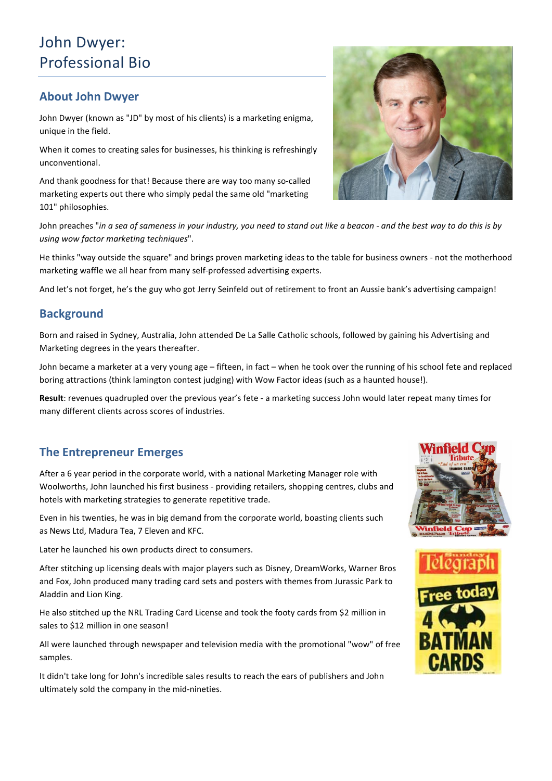# John Dwyer: Professional Bio

## **About John Dwyer**

John Dwyer (known as "JD" by most of his clients) is a marketing enigma, unique in the field.

When it comes to creating sales for businesses, his thinking is refreshingly unconventional.

And thank goodness for that! Because there are way too many so-called marketing experts out there who simply pedal the same old "marketing 101" philosophies.



John preaches "*in a sea of sameness in your industry, you need to stand out like a beacon - and the best way to do this is by using wow factor marketing techniques*".

He thinks "way outside the square" and brings proven marketing ideas to the table for business owners - not the motherhood marketing waffle we all hear from many self-professed advertising experts.

And let's not forget, he's the guy who got Jerry Seinfeld out of retirement to front an Aussie bank's advertising campaign!

#### **Background**

Born and raised in Sydney, Australia, John attended De La Salle Catholic schools, followed by gaining his Advertising and Marketing degrees in the years thereafter.

John became a marketer at a very young age – fifteen, in fact – when he took over the running of his school fete and replaced boring attractions (think lamington contest judging) with Wow Factor ideas (such as a haunted house!).

**Result**: revenues quadrupled over the previous year's fete - a marketing success John would later repeat many times for many different clients across scores of industries.

## **The Entrepreneur Emerges**

After a 6 year period in the corporate world, with a national Marketing Manager role with Woolworths, John launched his first business - providing retailers, shopping centres, clubs and hotels with marketing strategies to generate repetitive trade.

Even in his twenties, he was in big demand from the corporate world, boasting clients such as News Ltd, Madura Tea, 7 Eleven and KFC.

Later he launched his own products direct to consumers.

After stitching up licensing deals with major players such as Disney, DreamWorks, Warner Bros and Fox, John produced many trading card sets and posters with themes from Jurassic Park to Aladdin and Lion King.

He also stitched up the NRL Trading Card License and took the footy cards from \$2 million in sales to \$12 million in one season!

All were launched through newspaper and television media with the promotional "wow" of free samples.

It didn't take long for John's incredible sales results to reach the ears of publishers and John ultimately sold the company in the mid-nineties.



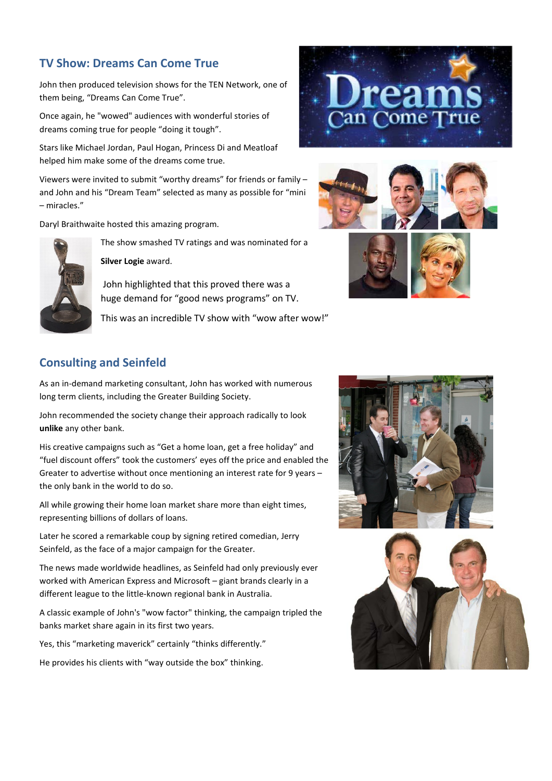## **TV Show: Dreams Can Come True**

John then produced television shows for the TEN Network, one of them being, "Dreams Can Come True".

Once again, he "wowed" audiences with wonderful stories of dreams coming true for people "doing it tough".

Stars like Michael Jordan, Paul Hogan, Princess Di and Meatloaf helped him make some of the dreams come true.

Viewers were invited to submit "worthy dreams" for friends or family – and John and his "Dream Team" selected as many as possible for "mini – miracles."

Daryl Braithwaite hosted this amazing program.



The show smashed TV ratings and was nominated for a **Silver Logie** award.

John highlighted that this proved there was a huge demand for "good news programs" on TV.

This was an incredible TV show with "wow after wow!"







## **Consulting and Seinfeld**

As an in-demand marketing consultant, John has worked with numerous long term clients, including the Greater Building Society.

John recommended the society change their approach radically to look **unlike** any other bank.

His creative campaigns such as "Get a home loan, get a free holiday" and "fuel discount offers" took the customers' eyes off the price and enabled the Greater to advertise without once mentioning an interest rate for 9 years – the only bank in the world to do so.

All while growing their home loan market share more than eight times, representing billions of dollars of loans.

Later he scored a remarkable coup by signing retired comedian, Jerry Seinfeld, as the face of a major campaign for the Greater.

The news made worldwide headlines, as Seinfeld had only previously ever worked with American Express and Microsoft – giant brands clearly in a different league to the little-known regional bank in Australia.

A classic example of John's "wow factor" thinking, the campaign tripled the banks market share again in its first two years.

Yes, this "marketing maverick" certainly "thinks differently."

He provides his clients with "way outside the box" thinking.